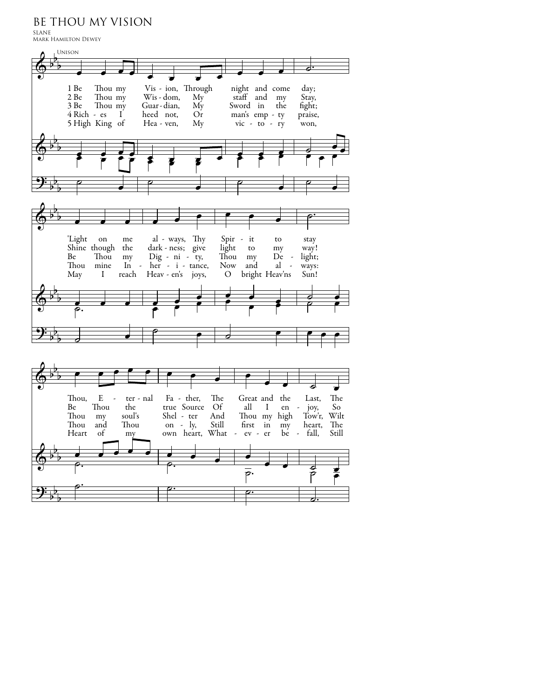BE THOU MY VISION

SLANE Mark Hamilton Dewey